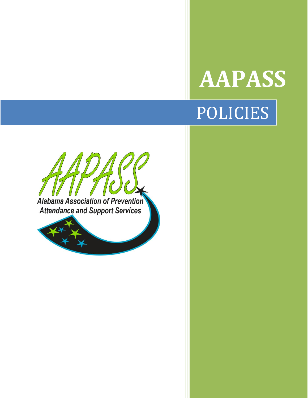## **AAPASS** POLICIES



Alabama Association of Prevention **Attendance and Support Services**